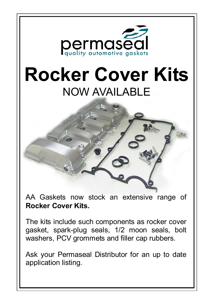

AA Gaskets now stock an extensive range of **Rocker Cover Kits.** 

The kits include such components as rocker cover gasket, spark-plug seals, 1/2 moon seals, bolt washers, PCV grommets and filler cap rubbers.

Ask your Permaseal Distributor for an up to date application listing.